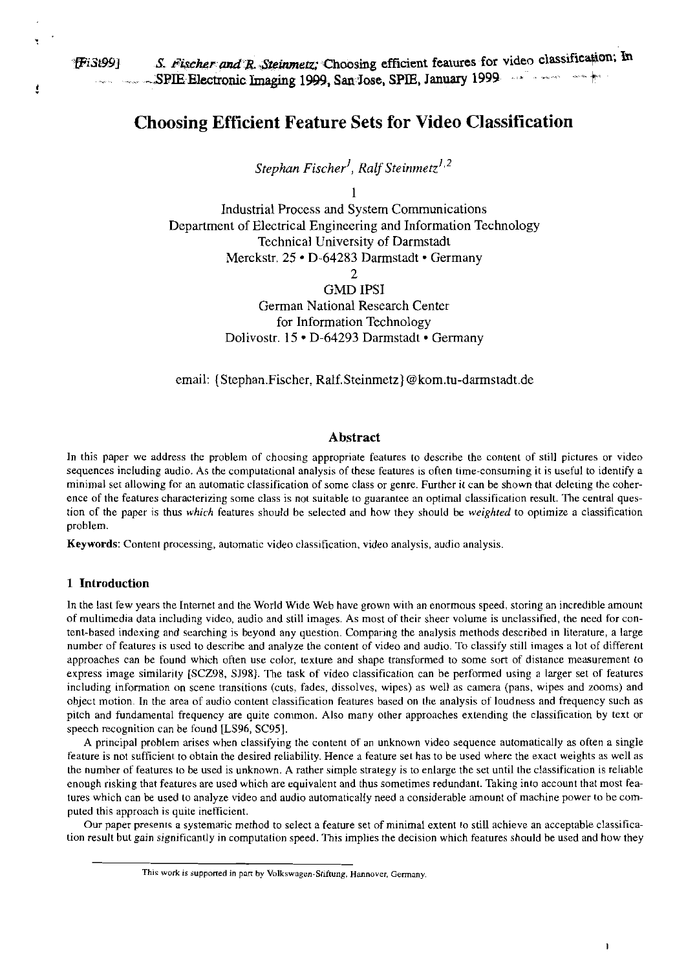**d** 

# **Choosing Efficient Feature Sets for Video Classification**

Stephan Fischer<sup>1</sup>, Ralf Steinmetz<sup>1,2</sup>

1 lndustrial Process and System Comrnunications Department of Electrical Engineering and Information Technology Technical University of Darmstadt Merckstr. 25 · D-64283 Darmstadt · Germany 2 GMD IPSI

German National Research Center for Information Technology Dolivostr. 15 · D-64293 Darmstadt · Germany

email: {Stephan.Fischer. Ralf.Steinmetz}@kom.tu-darmstadt.de

#### **Abstract**

In this paper we address the problem of choosing appropriate features to describe the content of siill pictures or video sequences including audio. As the compuiational analysis of these features is often time-consurning it is useful to ideniify a minimal set allowing for an automatic classification of some class or genre. Further it can be shown that delering the coherence of the features characterizing some class is not suitable to guarantee an optimal classification result. The central question of the paper is thus *which* features should be selected and how they should be *weighted* to optimize a classification problem.

**Keywords:** Conteni processing, automatic video classification, video analysis, audio analysis

# **1 Introduction**

In the last few years the Inteinet and the World Wide Web have grown with an enormous speed. storing an incredible amount of multimedia data including video, audio and still images. As most of their sheer volume is unclassified, the need for content-based indexing and searching is beyond any question. Comparing the analysis rnethods descrihed in literature, a large number of features is used to descrihe and analyze the content of video and audio. To classify still images a lot of diiferent approaches can be found which often use color, texture and shape transformed to some sort of distance measurernent to express image similarity [SCZ98, SJ981. The task of video classification can be performed using a larger set of features including information on scene transitions (cuts, fades. dissolves, wipes) as well as camera (pans, wipes and zooms) and object motion. In the area of audio content classification features hased on ihe analysis of loudness and frequency such as pitch and fundamental frequency are quite conimon. Also many other approaches exlending the classification by text or speech recognition can be found [LS96, SC95].

A principal prohlern arises when classifying the content of an unknown video sequence automatically as often a single feature is not sufficient to obtain the desired reliability. Hence a Feature set has to be used where the exaci weights as well as the number of Features in be used is unknown. A rather simple strategy is to enlarge the set until ihe classification is reliahle enough risking that features are used which are equivalent and thus sometimes redundant. Taking into account that most features which can be used to analyze video and audio autornatically need a considerable arnount of machine power to be computed this approach is quite inefficient.

Our paper presents a systemaric method to select a feature set of minimal extent to still achieve an acceptable classification result but gain significantly in computation speed. This implies the decision which features should be used and how they

 $\mathbf{I}$ 

**This work is supported** in **pan by** Volkswagen-Sliftung, Hannover, **Gemmy.**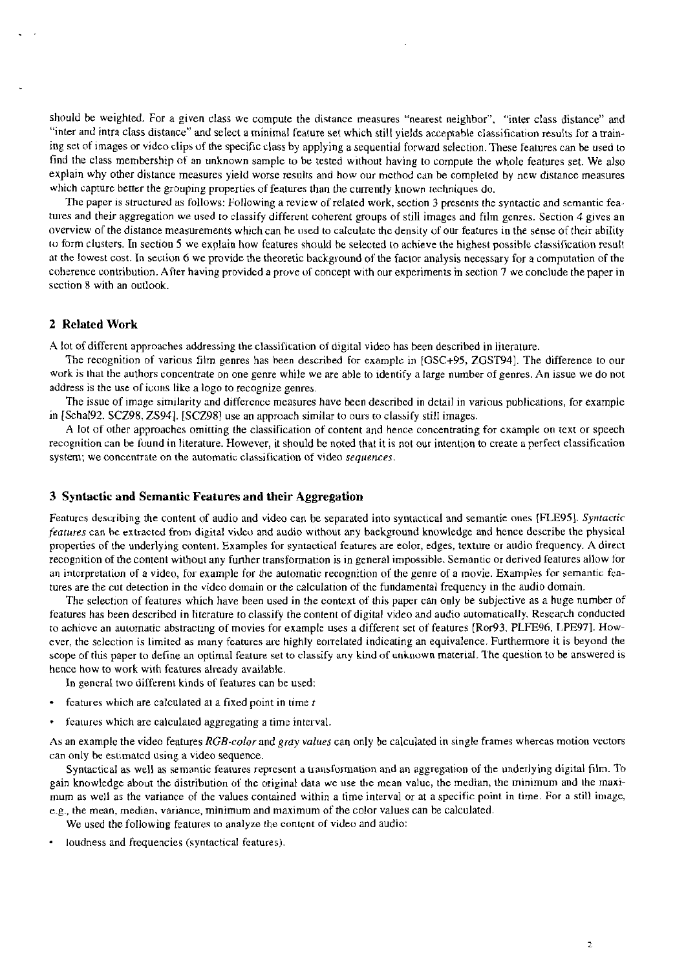should be weighted. For a given class we compute the distance measures "nearest neighbor", "inter class distance" and "inter and intra class distance" and select a minimal feature set which still yields acceptable classification results for a training set of images or vidco clips uf the specific class by applying a sequential forward selection. These features can be used to find the class membership of an unknown sample to be tested without having to compute the whole features set. We also explain why other distance measures yield worse results and how our method can be completed by new distance measures which capture better the grouping properties of features than the currently known techniques do.

The paper is structured as follows: Following a review of related work, section 3 presents the syntactic and semantic features and their aggregation we used to classify different coherent groups of still images and film genres. Section 4 gives an overview of the distance measurements which can be used to calculate the density of our features in the sense of their ability tu form clusters. In section 5 we explain how features should **be** selected to achieve the highest possible classification result at the lowest cost. In section 6 we provide the theoretic background of the factor analysis necessary for a computation of the coherence contribution. After having provided a prove of concept with our experiments in section 7 we conclude the paper in section 8 with an outlook.

# **2 Related Work**

.4 lot of different approaches addressing the classification of digital video has been described in literature.

The recognition of various film genres has been described for example in [GSC+95, ZGST94]. The difference to our work is lhat the authors concentrate on one genre while we are able to identify a large number of genres. An issue we do not address is the use of icons like a logo to recognize genres.

The issue of image similarity and difference measures have been described in detail in various publications, for example in [Schal92. SCZ98, ZS94]. [SCZ98] use an approach similar to ours to classify still images.

A lot of other approaches omitting the classification of content and hence concentrating for example on text or speech recognition can be found in literature. However, it should be noted that it is not our intention to create a perfect classification system; we concentrate on the automatic classification of video sequences.

## **3 Syntactic and Semantic Features and their Aggregation**

Featurcs describing the content of audio and video can be separated into syntactical and semantie ones [FLE95]. Syntactic features can he extracted from digital videu and audio without any baekground knowledge and hence describe the physical properties of the underlying content. Examples for syntactical fcatures are eolor, edges, texture or audio frequency. A direct recognition of the content without any funher transformation is in general impossible. Semantic or derived fearures allow for an interpretation of a video, for example for the automatic recognition of the genre of a movie. Examples for semantic fcatures are the cut detection in thc video dornain or rhe calculation of the fundamental frequency in the audio domain.

The selection of features which have been used in the context of this paper can only be subjective as a huge number of features has been described in literature to classify the content of digital video and audio automatically. Research conducted to achieve an automatic abstracting of movies for example uses a different set of features [Ror93, PLFE96, LPE97]. However, the selection is limited as many fcatures are highly eorrelated indicating an equivalence. Furthermore it is beyond the scope of this paper to define an optimal feature set to classify any kind of unknown material. The question to be answered is hence how to work with features already available.

In general two different kinds of features can be used:

- fcatures which are calculated at a fixed point in time *t*
- $\cdot$  features which are calculated aggregating a time interval.

As an example the video features *RGB.color* and gray **values** can only be calculated in ingle frames whereas motion vcctors can only be esiimatcd using a video sequence.

Syntactical as well as semantic features reprcscnt a transformation and an aggregation of ihe underlying digital film. To gain knowledge about the distnbution of the original data we use the mean valuc, the median, the minrmum and the maximum as well as the variance of the values contained within a time interval or at a specific point in time. For a still image, e.g.. the mean, median, variance, rninimum and maximum of the color values can be calculated.

We used the following features to analyze the content of video and audio:

loudness and frequencies (syntactical features).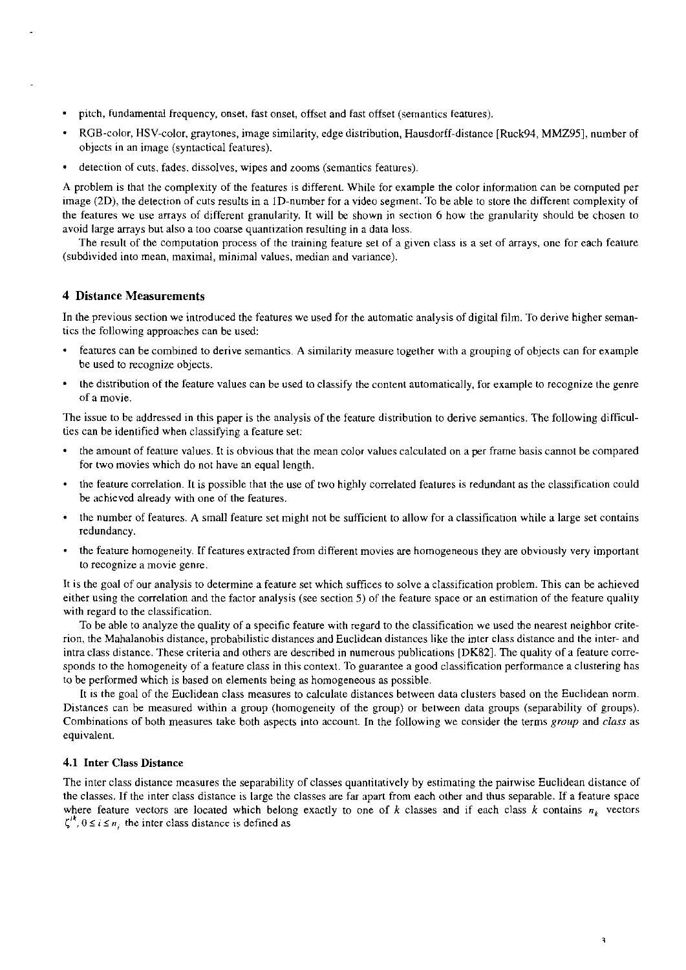- pitch, fundamental frequency, onset. fast onset, offset and fast offset (semantics features).
- RGB-color, HSV-color, graytones, image similarity, edge distribution, Hausdorff-distance [Ruck94, MMZ951, number of objects in an image (syntactical features).
- detection of cuts, fades, dissolves, wipes and zooms (semantics features).

A problem is that the complexity of the features is different. While for example the color informaiion can be computed per image (ZD), the detection of cuts results in a 1D-number for a video Segment. To be able to store ihe different complexity of the features we use arrays of different granularity. It will be shown in section 6 how the granularity should be chosen to avoid large arrays but also a too coarse quantization resulting in a data loss.

The result of the computation process of the training feature set of a given class is a set of arrays, one for each feature (subdivided into mean, maximal, minimal values, median and variance).

# **4 Distance Measurements**

In the previous section we introduced the features we used for the automatic analysis of digital film. To derive higher semantics the following approaches can be used:

- features can be combined to derive semantics. **A** similarity measure together with a grouping of objects can for example be used to recognize objects.
- the distribution of the feature values can be used to classify the content automatically. for example to recognize the genre of a movie.

The issue to be addressed in this paper is the analysis of the feature distribution to derive semantics. The following difficulties can be identified when classifying a feature set:

- the amount of feature values. It is obvious that the mean color values calculated on a per frame basis cannot be compared for two movies which do not have an equal length.
- . the feature correlation. It is possible that rhe use of two highly correlated features is redundant as the classification could be achieved already with one of the features.
- . the number of features. **A** small feature set might not be sufficient 10 allow for a classification while a large set contains redundancy.
- the feature homogeneity. If features extracted from difterent movies are homogeneous they are obviously very important to recognize a movie genre.

It is the goal of our analysis to determine a feature set which suffices to solve a classification problem. This can be achieved either using the correlation and the factor analysis (see section 5) of the feature space or an estimation of the feature quality with regard to the classification.

To be able to analyze the quaiity of a specific feature with regard to the classification we used the nearest neighbor criterion, the Mahalanobis distance, probabilistic distances and Euclidean distances like the inter class distance and the inter- and intra dass distance. These criteria and others are described in numerous publications [DK82]. The quality of a feature corresponds to the homogeneity of a feature class in this context. To guarantee a good classification performance a clustering has tobe performed which is based on elements being as homogeneous as possible.

It is the goal of the Euclidean class measures to calculate distances between data clusters based on the Euclidean norm. Distances can be measured within a group (homogeneity of the group) or beiween data groups (separability of groups). Combinations of both measures take both aspects into account. In the following we consider the terms *groirp* and *class* as equivalent.

#### **4.1 Inter Class Distance**

The inter class distance measures the separability of classes quantitatively by estimating the pairwise Euclidean distance ot the classes. If the inter class distance is large the classes are far apart from each other and thus separable. If a feature space where feature vectors are located which belong exactly to one of  $k$  classes and if each class  $k$  contains  $n_k$  vectors  $\zeta^{ik}$ ,  $0 \le i \le n$ , the inter class distance is defined as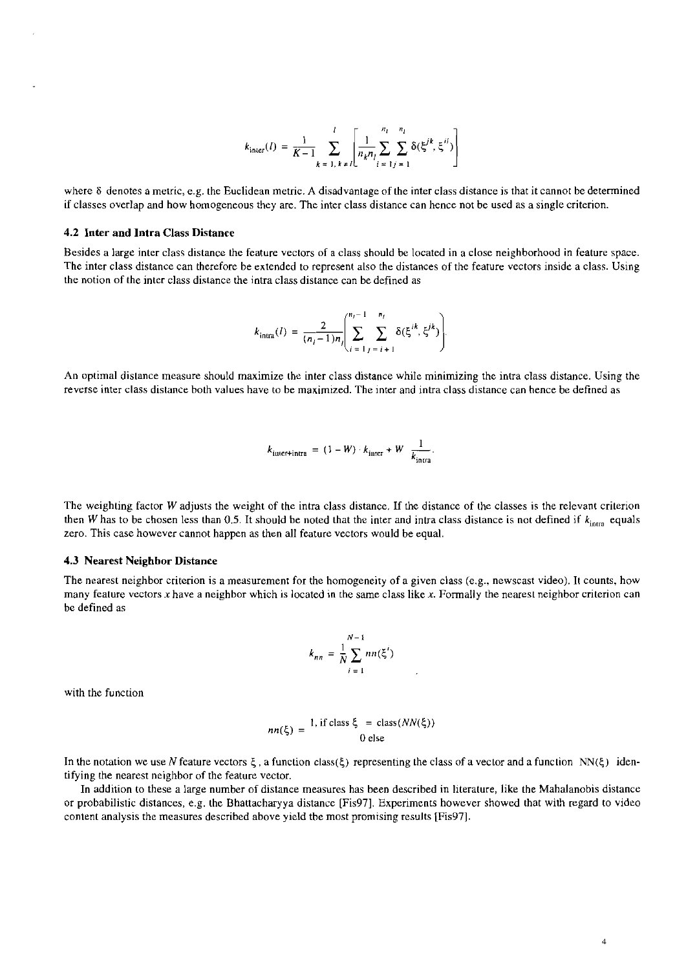$$
k_{\text{inter}}(l) = \frac{1}{K-1} \sum_{k=1, k \neq l}^{l} \left[ \frac{1}{n_k n_l} \sum_{i=1}^{n_l} \sum_{j=1}^{n_l} \delta(\xi^{jk}, \xi^{il}) \right]
$$

where  $\delta$  denotes a metric, e.g. the Euclidean metric. A disadvantage of the inter class distance is that it cannot be determined if classes overlap and how homogeneous they are. The inter class distance can hence not be used as a single criterion.

#### **4.2 Inter and Intra Class Distance**

Besides a large inter class distance the feature vectors of a class should be located in a close neighborhood in feature space. The inter class distance can therefore be extended to represent also the distances of the feature vectors inside a class. Using the notion of the inter class disiance the intra class distance can be defined as

$$
k_{\text{intra}}(l) = \frac{2}{(n_l - 1)n_l} \left( \sum_{i=1}^{n_l - 1} \sum_{j=i+1}^{n_l} \delta(\xi^{ik}, \xi^{jk}) \right).
$$

An optimal disiance measure should maximize the inter class distance while minimizing the intra class distance. Using the reverse inter class distance hoth values have to be maximized. The inter and intra class distance can hence be defined as

$$
k_{\text{inter+intra}} = (1 - W) \cdot k_{\text{inner}} + W \frac{1}{k_{\text{intra}}}.
$$

The weighting factor W adjusts the weight of the intra class distance. If the distance of the classes is the relevant criterion then *W* has to be chosen less than 0.5. It should be noted that the inter and intra class distance is not defined if  $k_{\text{intra}}$  equals zero. This case however cannot happen as then **all** feature vectors would be equal.

#### **4.3 Nearest Neighbor Distance**

The nearest neighbor criterion is a measurement for the homogeneity of a given class (e.g., newscast video). It counts, how many feature vectors x have a neighbor which is located in the same class like x. Formally the nearest neighbor criterion can be defined as

$$
k_{nn} = \frac{1}{N} \sum_{i=1}^{N-1} nn(\xi^i)
$$

with the function

$$
nn(\xi) = \frac{1, \text{ if class } \xi = \text{class}(NN(\xi))}{0 \text{ else}}
$$

In the notation we use N feature vectors  $\xi$ , a function class( $\xi$ ) representing the class of a vector and a function NN( $\xi$ ) identifying the nearest neighbor of the feature vector.

In addition to these a large number of distance measures has been described in literature, like the Mahalanobis distance or probabilistic distances, e.g. the Bhattacharyya distance [Fis97]. Experiments however showed that with regard to video content analysis the measures described above yield the most promising results [Fis97].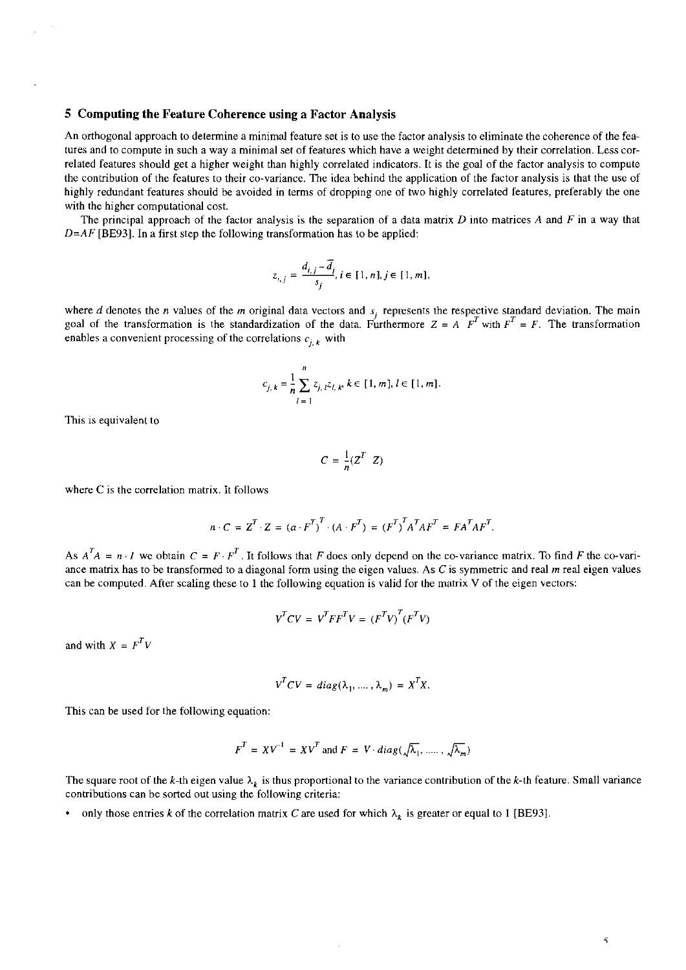## **5 Computing the Feature Coherence using a Factor Analysis**

An orthogonal approach to determine a minimal feature set is to use the factor analysis to elirninate the coherence of the features and to compute in such a way a minimal set of features which have a weight determined by their correlation. Less correlated features should get a higher weight than highly correlated indicators. It is the goal of the factor analysis to compute the contribution of the features to their co-variance. The idea behind the application of the factor analysis is that the use of highly redundant features should be avoided in terrns of dropping one of two highly correlated features, preferably the one with the higher computational cost.

The principal approach of the factor analysis is the separation of a data matrix D into matrices A and F in a way that  $D=AF$  [BE93]. In a first step the following transformation has to be applied:

$$
z_{i,j} = \frac{d_{i,j} - \overline{d}_j}{s_i}, i \in [1, n], j \in [1, m],
$$

where d denotes the *n* values of the *m* original data vectors and  $s_i$  represents the respective standard deviation. The main goal of the transformation is the standardization of the data. Furthermore  $Z = A F'$  with  $F' = F$ . The transformation enables a convenient processing of the correlations  $c_{i,k}$  with

$$
c_{j,k} = \frac{1}{n} \sum_{l=1}^{n} z_{j,l} z_{l,k}, k \in [1, m], l \in [1, m]
$$

This is equivalent to

$$
C = \frac{1}{n} (Z^T \ Z)
$$

where C is the correlation matrix. It follows

$$
n \cdot C = Z^{T} \cdot Z = (a \cdot F^{T})^{T} \cdot (A \cdot F^{T}) = (F^{T})^{T} A^{T} A F^{T} = F A^{T} A F^{T}.
$$

As  $A^T A = n \cdot I$  we obtain  $C = F \cdot F^T$ . It follows that F does only depend on the co-variance matrix. To find F the co-variance matrix has tobe transfomed to a diagonal form using the eigen values. As Cis syrnmetric and real **m** real eigen values can be computed. After scaling these to 1 the following equation is valid for the matrix V of the eigen vectors:

$$
V^T CV = V^T FF^T V = (F^T V)^T (F^T V)
$$

and with  $X = F^T V$ 

$$
V^{T}CV = diag(\lambda_{1}, ..., \lambda_{m}) = X^{T}X.
$$

This can be used for the following equation:

$$
F^T = XV^{-1} = XV^T
$$
 and  $F = V \cdot diag(\sqrt{\lambda_1}, \dots, \sqrt{\lambda_m})$ 

The square root of the k-th eigen value  $\lambda_k$  is thus proportional to the variance contribution of the k-th feature. Small variance contributions can be sorted out using the following criteria:

only those entries k of the correlation matrix C are used for which  $\lambda_k$  is greater or equal to 1 [BE93].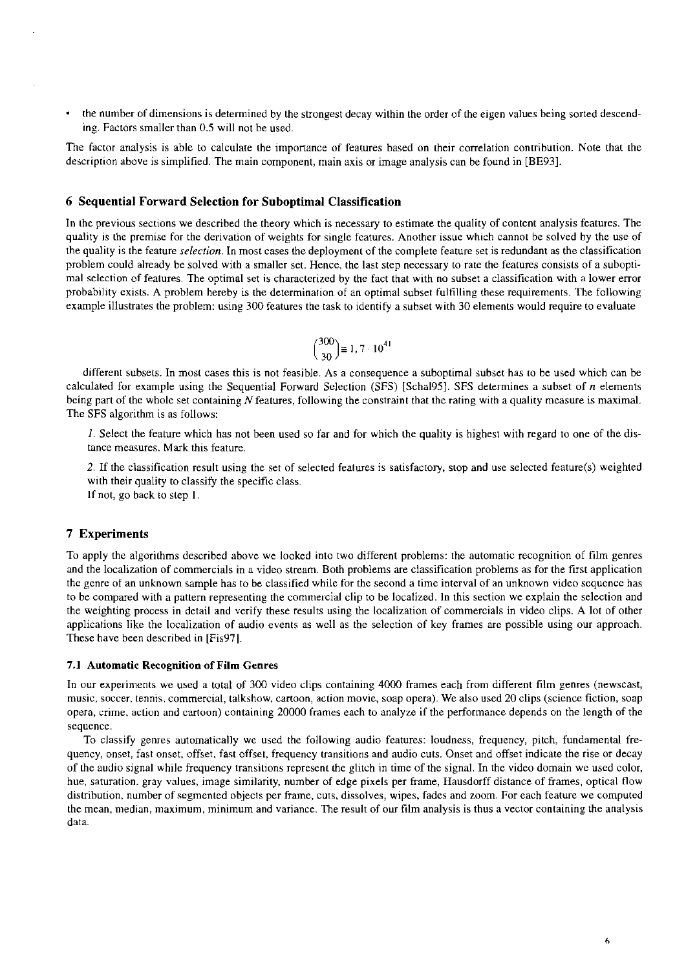the number of dimensions is determined by the strongest decay within the order of the eigen values being sorted descending. Factors smaller than 0.5 will not be used.

The factor analysis is able to calculate the importance of features based on their correlation contribution. Note that the description above is simplified. The main component, main axis or image analysis can be found in [BE93].

## **6 Sequential Forward Selection for Suboptimal Classification**

In the previous sections we descnbed the theory which is necessary to estimate the quality of content analysis features. The quality is the premise for the derivation of weights for single features. Another issue which cannot be solved by the use of the quality is the feature *selection*. In most cases the deployment of the complete feature set is redundant as the classification problem could already be solved with a smaller set. Hence. the last step necessary to rate the features consists of a suboptimal selection of features. The optimal set is characterized by the fact that with no subset a classification with a lower error probability exists. A problem hereby is the determination of an optimal subset fulfilling these requirements. The following example illustrates the problem: using 300 features the task to identify a subset with 30 elements would require to evaluate

$$
\binom{300}{30} \equiv 1, 7 \cdot 10^{41}
$$

different subsets. In most cases this is not feasible. As a consequence a suboptimal subset has ro be used which can be calculated for example using the Sequential Forward Selection (SFS) [Scha195]. SFS determines a subset of n elements being part of the whole set containing  $N$  features, following the constraint that the rating with a quality measure is maximal. The SFS algorithm is as follows:

 $I$ . Select the feature which has not been used so far and for which the quality is highest with regard to one of the distance measures. Mark this feature.

2. If the classification result using the set of selecied feaiures is satisfactory, stop and use selected feature(s) weighted with their quality to classify the specific class.

If not, go back to step 1

# **7 Experiments**

To apply the algorithms described above we looked into two different problems: the automatic recognition of film genres and the localization of commercials in a video stream. Both problems are classification problems as for the first application the genre of an unknown sample has to be classified while for the second a time interval of an unknown video sequence has to be compared with a pattern representing the commercial clip to be localized. In this section we explain the selection and the weighting process in detail and verify these results using the localization of commercials in video clips. A lot of other applications like the localization of audio events as well as the selection of key frames are possible using our approach. These have been described in [Fis97].

#### **7.1 Automatic Recognition of Film Genres**

In our expeiiments we used a total of 300 video clips containing 4000 frames each from different film genres (newscast, music. Soccer. tennis. commercial, talkshow, cartoon, action movie, soap opera). We also used 20 clips (science fiction, soap opera, crime. action and carioon) containing 20000 franies each to analyze if the performance depends on the length of the sequence.

To classify genres automatically we used the following audio features: loudness, frequency, pitch, fundamental frequency, onset, fast onset, offset, fast offset, frequency transitions and audio cuts. Onset and offset indicate the rise or decay of the audio signal while frequency transilions represent the glitch in time of the signal. In the video domain we used color. hue, saturation. gray values, image similarity, number of edge pixels per frame, Hausdorff distance of frames, optical flow distribution. number of scgmented objects per frame, cuts, dissolves, wipes, fades and zoom. For each feature we computed the mean, median, maximum, minimum and variance. The result of our film analysis is thus a vector containing the analysis data.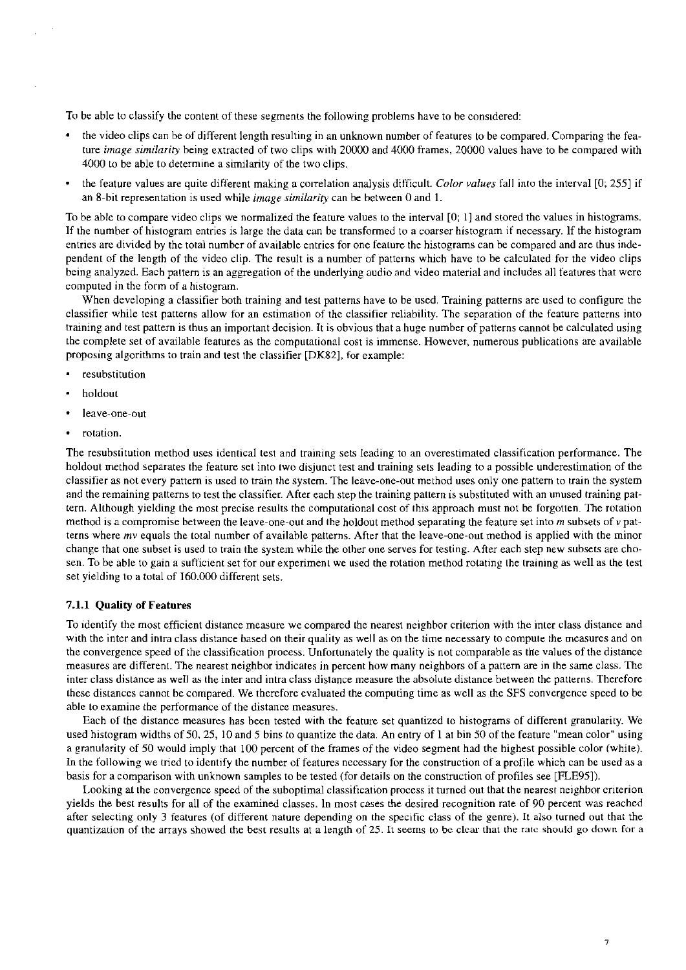To be able to classify the content of these segments the following problems have to be considered:

- the video clips can be of different length resulting in an unknown number of features to be compared. Comparing the feature *image similarity* being extracted of two clips with 20000 and 4000 frames, 20000 values have to be compared with 4000 to be able to determine a similarity of the two clips.
- the feature values are quite different making a correlation analysis difficult. Color values fall into the interval [0; 255] if an 8-bit representation is used while *image similarity* can be hetween 0 and 1.

To be able to compare video clips we normalized the feature values to the interval [O; I] and stored the values in histograms. If the number of histogram entries is large the data can be transformed to a coarser histogram if necessary. lf the histogram entries are divided by the total number of available entries for one feature the histograms can be compared and are thus independent of the length of the video clip. The result is a number of patteins which have to be calculated for the video clips being analyzed. Each pattern is an aggregation of the underlying audio and video material and includes all features that were computed in the form of a histogram.

When developing a classifier both training and tesi patterns have to be used. Training patterns are used to configure the classifier while test patterns allow for an estimation of the classifier reliability. The separation of the feature patterns into training and test pattern is thus an important decision. It is obvious that a huge number of patterns cannot be calculated using the complete set of available features as the computational cost is immense. However, numerous publications are available proposing algorithms to train and test the classifier [DKSZ], for example:

- resuhstitution
- holdout
- leave-one-out<br>• rotation.
- 

The resubstitution method uses identical test and training sets leading to an overestimated classification performance. The holdout method separates the feature set into two disjunct test and training sets leading to a possible underestimation of the classifier as not every pattern is used to train the system. The leave-one-out method uses only one pattern to train the system and the remaining patterns to test the classifier. After each step the training pattern is substituted with an unused training pattern. Although yielding the most precise results the computational cost of ihis approach must not be forgotten. The rotation meihod is a compromise between the leave-one-out and ihe holdout method separating the feature set into *m* subsets of **V** patterns where *mv* equals the total number of available patterns. After that the leave-one-out method is applied with the minor change that one subset **is** used to train the system while the oiher one serves for testing. After each step new subsets are chosen. To be able to gain a sufficient set for our experiment we used the rotation method rotating the training as well as the test set yielding to a total of 160.000 different sets.

#### **7.1.1 Quality of Features**

To identify the most efficient disiance measure we compared the nearest neighbor criterion with the inter class distance and with the inter and intra class distance based on their quality as well as on the time necessary to compuie the measures and on the convergence speed of the classification process. Unfortunately the quality is not comparable as the values of the distance measures are different. The nearest neighbor indicaies in percent how many neighbors of a pattern are in the same class. The inter class distance as well as the inter and intra class distance measure the absolute distance between the patterns. Therefore these distances cannot be compared. We therefore evaluated the computing time as well as the SFS convergence speed to be able to examine the periormance of the distance measures.

Each of the distance measures has been tested with the feature set quantized to histograms of different granulariiy. We used histogram widths of 50,25, I0 and 5 bins to quantize the data. An entry of 1 at bin 50 of the feature "mean color" using a granularity of 50 would imply that 100 percent of ihe frames of the video Segment had the highest possible color (white). In the following we tried to identify the number of features necessary for the construction of a profile which can be used as a basis for a comparison with unknown samples to be tested (for details on the construction of profiles see [FLE951).

Looking at the convergence speed of the suboptimal classification process it turned out that the nearest neighbor criterion yields the best results for all of the examined classes. In most cases the desired recognition rate of 90 percent was reached after selecting only 3 features (of different nature depending on the specific class of the genrej. It also turned out that the quantization of the arrays showed the best iesults at **a** length of *25.* It seems to bc clcar that the **ritc** should go down for a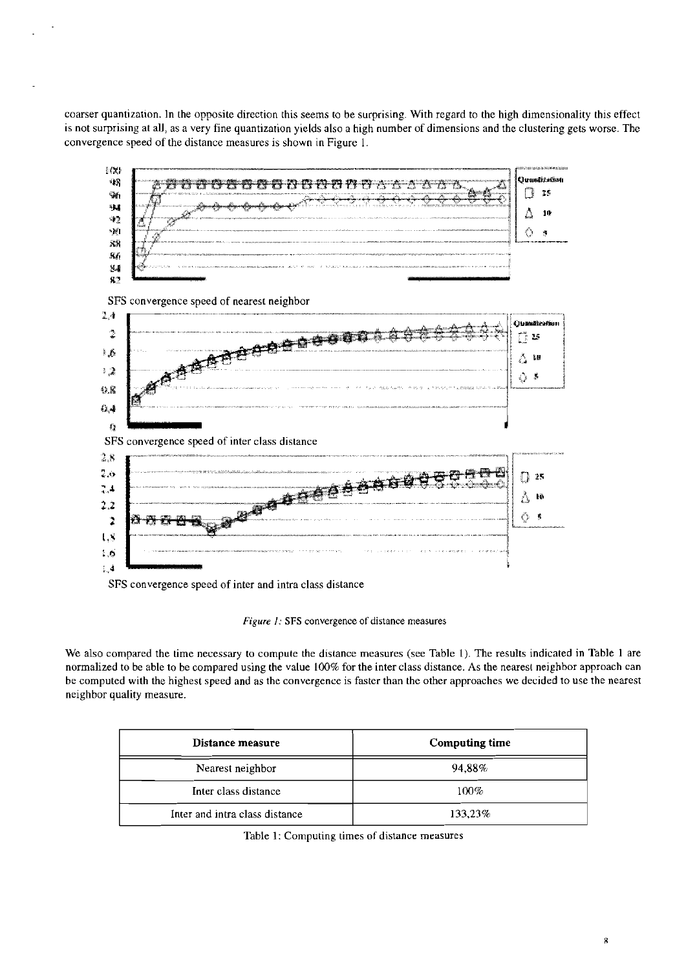coarser quantization. In the opposite direction this seems to be surprising. With regard to the high dimensionality this effect is not surprising at all, as a very fine quantizarion yields also a high number of dimensions and the clustering gets worse. The convergence speed of the distance measures is shown in Figure I



**Figure** I: SFS convergence of distance measures

We also compared the time necessary to compute the distance measures (see Table **I).** The results indicated in Table **1** are normalized to be able to be compared using the value **100%** for the inter class distance. As the nearest neighhor approach can be computed with the highest speed and as the convergence is faster than the other approaches we decided to use the nearest neighbor quality measure.

| Distance measure               | Computing time |
|--------------------------------|----------------|
| Nearest neighbor               | 94.88%         |
| Inter class distance           | $100\%$        |
| Inter and intra class distance | 133,23%        |

Table 1: Computing times of distance measures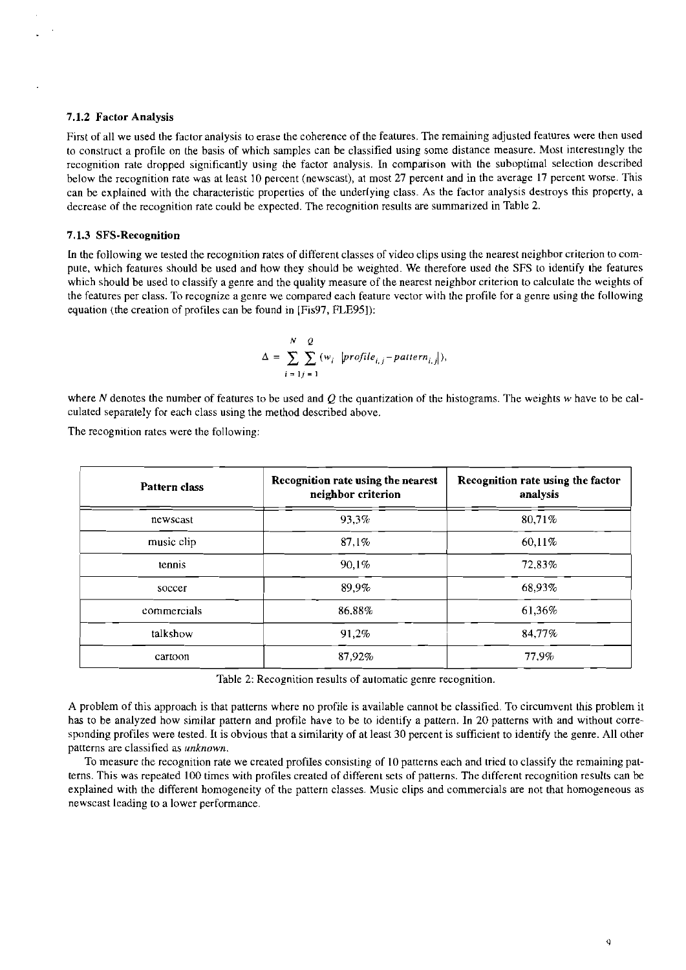## **7.1.2 Factor Analysis**

First of all we used the factor analysis to erase the coherence of the features. The remaining adjusted features were then used to construct a profile on the basis of which samples can be classified using some distance measure. Most interestingly the recognition rate dropped significantly using the factor analysis. In comparison with the suboptimal selection described below the recognition rate was at least 10 percent (newscast), at most 27 percent and in the average 17 percent worse. This can be explained with the characteristic properties of the underlying class. As the factor analysis destroys this property, a decrease of the recognition rate could be expected. The recognition results are summarized in Table 2.

#### 7.1.3 SFS-Recognition

In the following we tested the recognition rates of different classes of video clips using the nearest neighbor criterion to compute, which features should be used and how they should be weighted. We therefore used the SFS to identify the features which should be used to classify a genre and the quality measure of the nearest neighbor criterion to calculate the weights of the features per class. To recognize a genre we compared each feature vector with the profile for a genre using the following equation (the creation of profiles can be found in [Fis97, FLE95]):

$$
\Delta = \sum_{i=1}^{N} \sum_{j=1}^{Q} (w_i \left[ profile_{i,j} - pattern_{i,j} \right]),
$$

where N denotes the number of features to be used and Q the quantization of the histograms. The weights w have to be calculated separately for each class using the method described above.

The recognition rates were the following

| Pattern class | Recognition rate using the nearest<br>neighbor criterion | Recognition rate using the factor<br>analysis |
|---------------|----------------------------------------------------------|-----------------------------------------------|
| newscast      | 93.3%                                                    | 80,71%                                        |
| music clip    | 87.1%                                                    | 60,11%                                        |
| tennis        | 90,1%                                                    | 72,83%                                        |
| soccer        | 89,9%                                                    | 68,93%                                        |
| commercials   | 86,88%                                                   | 61,36%                                        |
| talkshow      | 91.2%                                                    | 84,77%                                        |
| cartoon       | 87,92%                                                   | 77,9%                                         |

Table 2: Recognition results of automatic genre recognition

**A** problem of this approach is that patterns where no profiie is available cannot be classified. To circumvent this problem it has to be analyzed how similar pattern and profile have to be to identify a pattern. In 20 patterns with and without corresponding profiles were tested. It is obvious that a similarity of at least 30 percent is sufficient to identify the genre. All other patterns are classified as *irnknown.* 

To measure the recognition rate we created profiIes consisting of 10 patterns each and tried to classify the remaining patterns. This was repeated 100 times witb profiles created of different sets of patterns. The different recognition results can be explained with the different homogeneity of the pattern classes. Music clips and commercials are not that homogeneous as newscast leading to a lower performance.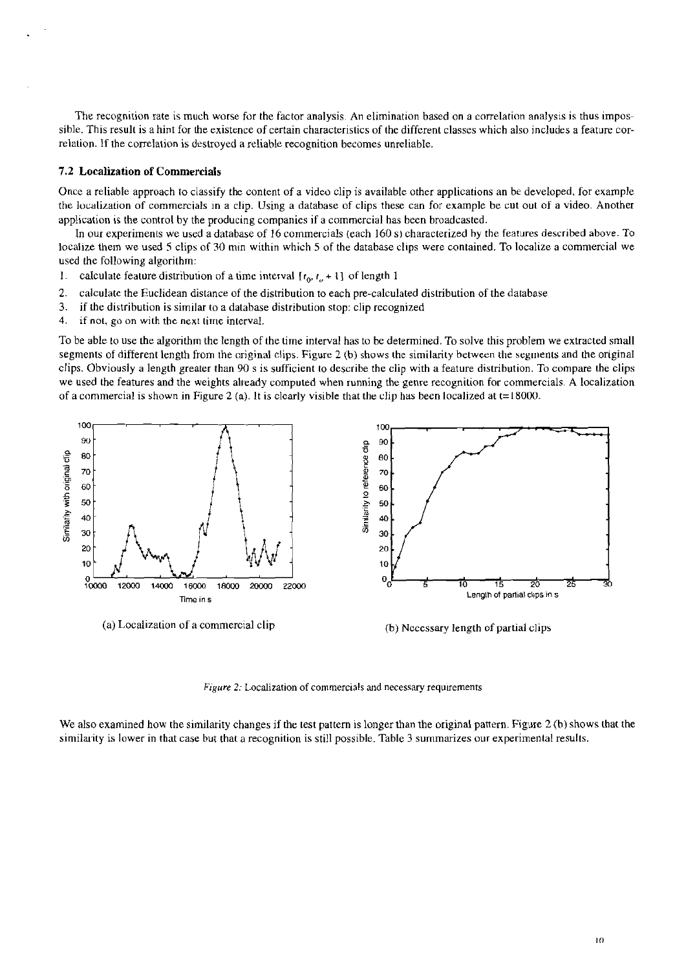The recognition rate is much worse for the factor analysis. An elimination based on a correlation analysis is thus impossible. This result is a hint for the existence of certain characteristics of the different classes which also includes a feature correlation. If the correlation is destroyed a reliahle recognition becomes unreliable.

#### **7.2 Localization of Commercials**

Once a reliable approach to classify the content of a video clip is available other applications an be developed, for example the lucaliration of commercials in a clip. Using a database of clips these can for example be cut out of a video. Another application is the control by the producing companies if a commercial has been broadcasted.

In our experiments we used a database of 16 commercials (each 160 s) characterized hy the features described above. To localize them we used 5 clips of 30 min within which *5* of the database clips were contained. To localize a commercial we used the following algorithm:

- 1. calculate feature distribution of a time interval  $[t_0, t_0 + 1]$  of length 1
- *2.* calculate the Euclidean distance of the distribution to each pre-calculated distribution of the database
- 3. if the distribution is similar to a database distribution stop: clip recognized
- 4. if not, go on with the next time interval.

To be able to use the algorithm the length of the time interval has to be determined. To solve this problem we extracted small segments of different length from the original clips. Figure 2 (b) shows the similarity between the segments and the original clips. Obviously a length greater than 90 s is sufficient io describe the clip with a feature distribution. To compare the clips we used the features and the weights alieady computed when running the genre recognition for commercials. A localization of a commercial is shown in Figure 2 (a). It is clearly visible that the clip has been localized at  $t=18000$ .



**Figure** 2: Localization of commercials and necessary requirements

We also examined how the similarity changes if the test pattern is longer than the original pattern. Figure 2 (b) shows that the similarity is lower in that case but that a recognition is still possible. Table 3 sunimarizes our experimental results.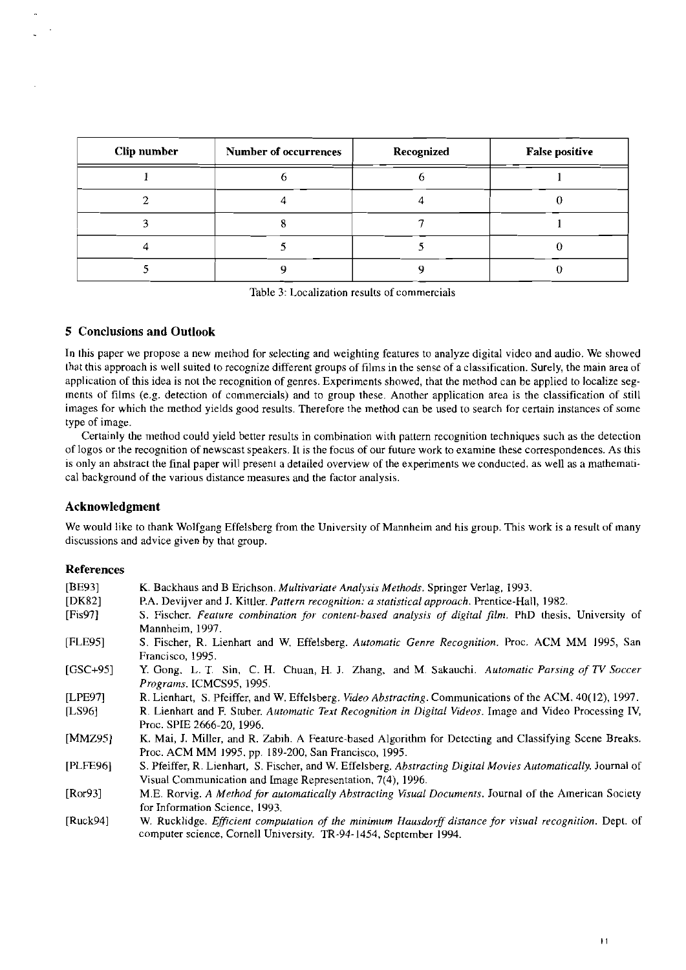| Clip number | <b>Number of occurrences</b> | Recognized | False positive |
|-------------|------------------------------|------------|----------------|
|             |                              |            |                |
|             |                              |            |                |
|             |                              |            |                |
|             |                              |            |                |
|             |                              |            |                |

Table 3: Localization results of commercials

# **5 Conclusions and Outlook**

In this paper we propose a new method for selecting and weighting features to analyze digital video and audio. We showed that this approach is well suited to recognize different groups of films in the sense of a classification. Surely, the main area of application of this idea is not the recognition of genres. Experiments showed, that the method can be applied to localize segments of films (e.g. detection of commercials) and to group these. Another application area is the classification of still images for which the metbod yields good results. Therefore the method can be used to search for certain instances of some type of image.

Certainly the method could yield better results in combination with pattern recognition techniques such as the detection of logos or the recognition of newscast speakers. It is the focus of our future work to examine these correspondences. As this is only an abstract the final paper will present a detailed overview of the experiments we conducted. as well as a mathematical background of the various distance measures and the factor analysis.

# **Acknowledgment**

We would like to thank Wolfgang Effelsberg from the University of Mannheim and his group. This work is a result of many discussions and advice given hy that group.

## **References**

| [BE93]                        | K. Backhaus and B Erichson. Multivariate Analysis Methods. Springer Verlag, 1993.                             |
|-------------------------------|---------------------------------------------------------------------------------------------------------------|
| [DK82]                        | P.A. Devijver and J. Kittler. Pattern recognition: a statistical approach. Prentice-Hall, 1982.               |
| [Fis $97$ ]                   | S. Fischer. Feature combination for content-based analysis of digital film. PhD thesis, University of         |
|                               | Mannheim, 1997.                                                                                               |
| [FLE95]                       | S. Fischer, R. Lienhart and W. Effelsberg. Automatic Genre Recognition. Proc. ACM MM 1995, San                |
|                               | Francisco, 1995.                                                                                              |
| $[GSC+95]$                    | Y. Gong, L. T. Sin, C. H. Chuan, H. J. Zhang, and M. Sakauchi. Automatic Parsing of TV Soccer                 |
|                               | Programs. ICMCS95, 1995.                                                                                      |
| [LPE97]                       | R. Lienhart, S. Pfeiffer, and W. Effelsberg. Video Abstracting. Communications of the ACM, 40(12), 1997.      |
| [LS96]                        | R. Lienhart and F. Stuber. Automatic Text Recognition in Digital Videos. Image and Video Processing IV,       |
|                               | Proc. SPIE 2666-20, 1996.                                                                                     |
| [MMZ95]                       | K. Mai, J. Miller, and R. Zabih. A Feature-based Algorithm for Detecting and Classifying Scene Breaks.        |
|                               | Proc. ACM MM 1995, pp. 189-200, San Francisco, 1995.                                                          |
| [PLFE96]                      | S. Pfeiffer, R. Lienhart, S. Fischer, and W. Effelsberg. Abstracting Digital Movies Automatically. Journal of |
|                               | Visual Communication and Image Representation, 7(4), 1996.                                                    |
| $[{\rm Ror}93]$               | M.E. Rorvig. A Method for automatically Abstracting Visual Documents. Journal of the American Society         |
|                               | for Information Science, 1993.                                                                                |
| $\lceil \text{Ruck94} \rceil$ | W. Rucklidge. Efficient computation of the minimum Hausdorff distance for visual recognition. Dept. of        |
|                               | computer science, Cornell University. TR-94-1454, September 1994.                                             |